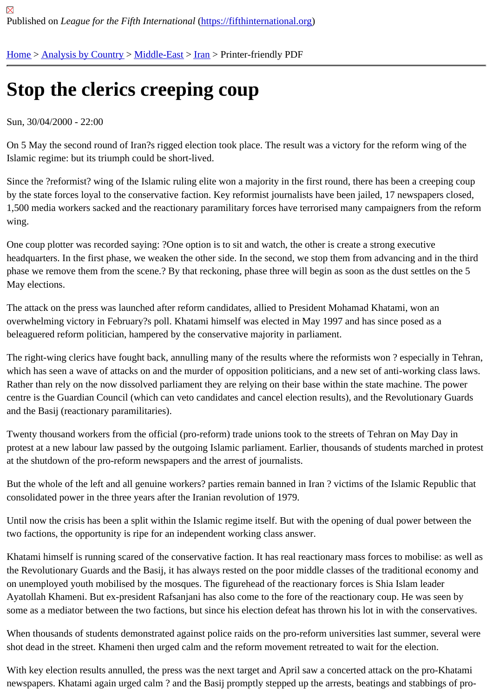## [Sto](https://fifthinternational.org/)[p the cleric](https://fifthinternational.org/category/1)[s cree](https://fifthinternational.org/category/1/178)[pin](https://fifthinternational.org/category/1/178/182)g coup

## Sun, 30/04/2000 - 22:00

On 5 May the second round of Iran?s rigged election took place. The result was a victory for the reform wing of the Islamic regime: but its triumph could be short-lived.

Since the ?reformist? wing of the Islamic ruling elite won a majority in the first round, there has been a creeping co by the state forces loyal to the conservative faction. Key reformist journalists have been jailed, 17 newspapers clos 1,500 media workers sacked and the reactionary paramilitary forces have terrorised many campaigners from the r wing.

One coup plotter was recorded saying: ?One option is to sit and watch, the other is create a strong executive headquarters. In the first phase, we weaken the other side. In the second, we stop them from advancing and in the phase we remove them from the scene.? By that reckoning, phase three will begin as soon as the dust settles on t May elections.

The attack on the press was launched after reform candidates, allied to President Mohamad Khatami, won an overwhelming victory in February?s poll. Khatami himself was elected in May 1997 and has since posed as a beleaguered reform politician, hampered by the conservative majority in parliament.

The right-wing clerics have fought back, annulling many of the results where the reformists won? especially in Tel which has seen a wave of attacks on and the murder of opposition politicians, and a new set of anti-working class Rather than rely on the now dissolved parliament they are relying on their base within the state machine. The pow centre is the Guardian Council (which can veto candidates and cancel election results), and the Revolutionary Gua and the Basij (reactionary paramilitaries).

Twenty thousand workers from the official (pro-reform) trade unions took to the streets of Tehran on May Day in protest at a new labour law passed by the outgoing Islamic parliament. Earlier, thousands of students marched in at the shutdown of the pro-reform newspapers and the arrest of journalists.

But the whole of the left and all genuine workers? parties remain banned in Iran ? victims of the Islamic Republic t consolidated power in the three years after the Iranian revolution of 1979.

Until now the crisis has been a split within the Islamic regime itself. But with the opening of dual power between th two factions, the opportunity is ripe for an independent working class answer.

Khatami himself is running scared of the conservative faction. It has real reactionary mass forces to mobilise: as w the Revolutionary Guards and the Basij, it has always rested on the poor middle classes of the traditional economy on unemployed youth mobilised by the mosques. The figurehead of the reactionary forces is Shia Islam leader Ayatollah Khameni. But ex-president Rafsanjani has also come to the fore of the reactionary coup. He was seen b some as a mediator between the two factions, but since his election defeat has thrown his lot in with the conservat

When thousands of students demonstrated against police raids on the pro-reform universities last summer, severa shot dead in the street. Khameni then urged calm and the reform movement retreated to wait for the election.

With key election results annulled, the press was the next target and April saw a concerted attack on the pro-Khata newspapers. Khatami again urged calm ? and the Basij promptly stepped up the arrests, beatings and stabbings c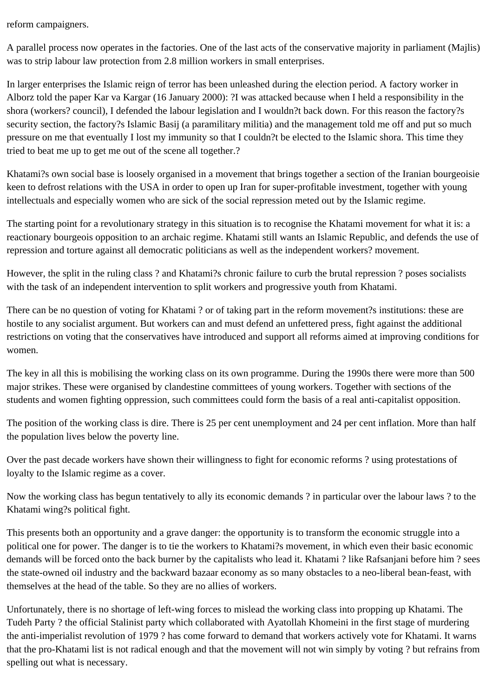reform campaigners.

A parallel process now operates in the factories. One of the last acts of the conservative majority in parliament (Majlis) was to strip labour law protection from 2.8 million workers in small enterprises.

In larger enterprises the Islamic reign of terror has been unleashed during the election period. A factory worker in Alborz told the paper Kar va Kargar (16 January 2000): ?I was attacked because when I held a responsibility in the shora (workers? council), I defended the labour legislation and I wouldn?t back down. For this reason the factory?s security section, the factory?s Islamic Basij (a paramilitary militia) and the management told me off and put so much pressure on me that eventually I lost my immunity so that I couldn?t be elected to the Islamic shora. This time they tried to beat me up to get me out of the scene all together.?

Khatami?s own social base is loosely organised in a movement that brings together a section of the Iranian bourgeoisie keen to defrost relations with the USA in order to open up Iran for super-profitable investment, together with young intellectuals and especially women who are sick of the social repression meted out by the Islamic regime.

The starting point for a revolutionary strategy in this situation is to recognise the Khatami movement for what it is: a reactionary bourgeois opposition to an archaic regime. Khatami still wants an Islamic Republic, and defends the use of repression and torture against all democratic politicians as well as the independent workers? movement.

However, the split in the ruling class ? and Khatami?s chronic failure to curb the brutal repression ? poses socialists with the task of an independent intervention to split workers and progressive youth from Khatami.

There can be no question of voting for Khatami ? or of taking part in the reform movement?s institutions: these are hostile to any socialist argument. But workers can and must defend an unfettered press, fight against the additional restrictions on voting that the conservatives have introduced and support all reforms aimed at improving conditions for women.

The key in all this is mobilising the working class on its own programme. During the 1990s there were more than 500 major strikes. These were organised by clandestine committees of young workers. Together with sections of the students and women fighting oppression, such committees could form the basis of a real anti-capitalist opposition.

The position of the working class is dire. There is 25 per cent unemployment and 24 per cent inflation. More than half the population lives below the poverty line.

Over the past decade workers have shown their willingness to fight for economic reforms ? using protestations of loyalty to the Islamic regime as a cover.

Now the working class has begun tentatively to ally its economic demands ? in particular over the labour laws ? to the Khatami wing?s political fight.

This presents both an opportunity and a grave danger: the opportunity is to transform the economic struggle into a political one for power. The danger is to tie the workers to Khatami?s movement, in which even their basic economic demands will be forced onto the back burner by the capitalists who lead it. Khatami ? like Rafsanjani before him ? sees the state-owned oil industry and the backward bazaar economy as so many obstacles to a neo-liberal bean-feast, with themselves at the head of the table. So they are no allies of workers.

Unfortunately, there is no shortage of left-wing forces to mislead the working class into propping up Khatami. The Tudeh Party ? the official Stalinist party which collaborated with Ayatollah Khomeini in the first stage of murdering the anti-imperialist revolution of 1979 ? has come forward to demand that workers actively vote for Khatami. It warns that the pro-Khatami list is not radical enough and that the movement will not win simply by voting ? but refrains from spelling out what is necessary.